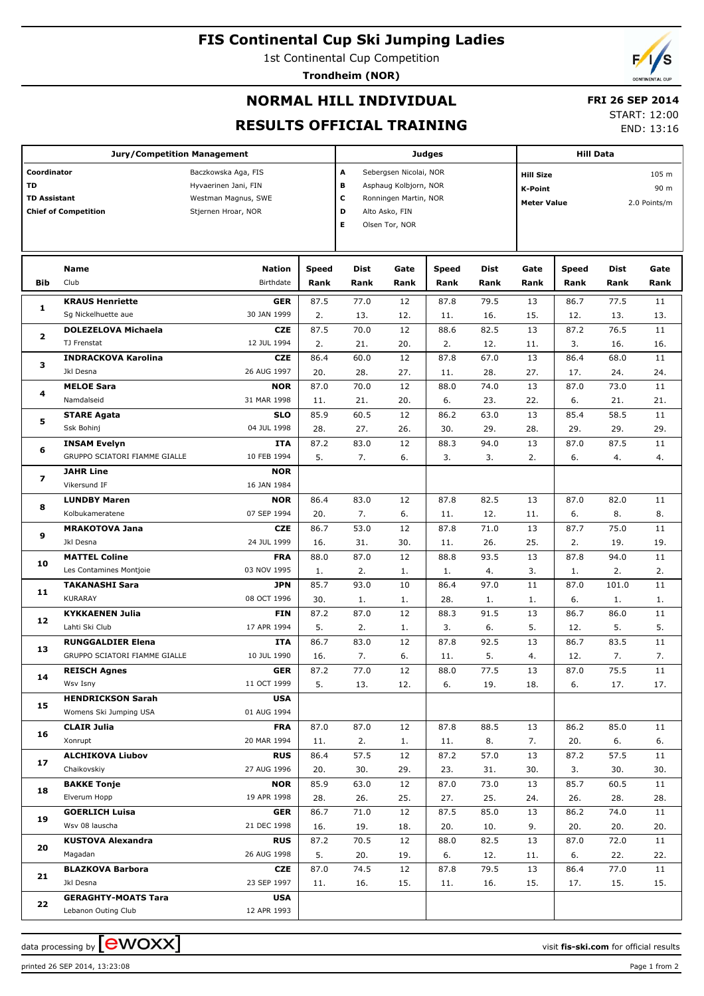## **FIS Continental Cup Ski Jumping Ladies**

1st Continental Cup Competition

**Trondheim (NOR)**



## **NORMAL HILL INDIVIDUAL**

# **FRI 26 SEP 2014**

#### **RESULTS OFFICIAL TRAINING**

START: 12:00 END: 13:16

| <b>Jury/Competition Management</b>                                      |                                                   |                                                                                           |                      |                                                                                                                                       |              | <b>Judges</b>        | <b>Hill Data</b>                                         |                 |                      |                               |                 |
|-------------------------------------------------------------------------|---------------------------------------------------|-------------------------------------------------------------------------------------------|----------------------|---------------------------------------------------------------------------------------------------------------------------------------|--------------|----------------------|----------------------------------------------------------|-----------------|----------------------|-------------------------------|-----------------|
| Coordinator<br>TD<br><b>TD Assistant</b><br><b>Chief of Competition</b> |                                                   | Baczkowska Aga, FIS<br>Hyvaerinen Jani, FIN<br>Westman Magnus, SWE<br>Stjernen Hroar, NOR |                      | A<br>Sebergsen Nicolai, NOR<br>в<br>Asphaug Kolbjorn, NOR<br>С<br>Ronningen Martin, NOR<br>D<br>Alto Asko, FIN<br>E<br>Olsen Tor, NOR |              |                      | <b>Hill Size</b><br><b>K-Point</b><br><b>Meter Value</b> |                 |                      | 105 m<br>90 m<br>2.0 Points/m |                 |
| Bib                                                                     | <b>Name</b><br>Club                               | <b>Nation</b><br><b>Birthdate</b>                                                         | <b>Speed</b><br>Rank | Dist<br>Rank                                                                                                                          | Gate<br>Rank | <b>Speed</b><br>Rank | <b>Dist</b><br>Rank                                      | Gate<br>Rank    | <b>Speed</b><br>Rank | Dist<br>Rank                  | Gate<br>Rank    |
|                                                                         | <b>KRAUS Henriette</b>                            | <b>GER</b>                                                                                | 87.5                 | 77.0                                                                                                                                  | 12           | 87.8                 | 79.5                                                     | 13              | 86.7                 | 77.5                          | 11              |
| 1                                                                       | Sg Nickelhuette aue                               | 30 JAN 1999                                                                               | 2.                   | 13.                                                                                                                                   | 12.          | 11.                  | 16.                                                      | 15.             | 12.                  | 13.                           | 13.             |
|                                                                         | <b>DOLEZELOVA Michaela</b>                        | <b>CZE</b>                                                                                | 87.5                 | 70.0                                                                                                                                  | 12           | 88.6                 | 82.5                                                     | 13              | 87.2                 | 76.5                          | 11              |
| 2                                                                       | TJ Frenstat                                       | 12 JUL 1994                                                                               | 2.                   | 21.                                                                                                                                   | 20.          | 2.                   | 12.                                                      | 11.             | 3.                   | 16.                           | 16.             |
|                                                                         | <b>INDRACKOVA Karolina</b>                        | <b>CZE</b>                                                                                | 86.4                 | 60.0                                                                                                                                  | 12           | 87.8                 | 67.0                                                     | 13              | 86.4                 | 68.0                          | 11              |
| з                                                                       | Jkl Desna                                         | 26 AUG 1997                                                                               | 20.                  | 28.                                                                                                                                   | 27.          | 11.                  | 28.                                                      | 27.             | 17.                  | 24.                           | 24.             |
| 4                                                                       | <b>MELOE Sara</b>                                 | <b>NOR</b>                                                                                | 87.0                 | 70.0                                                                                                                                  | 12           | 88.0                 | 74.0                                                     | 13              | 87.0                 | 73.0                          | 11              |
|                                                                         | Namdalseid                                        | 31 MAR 1998                                                                               | 11.                  | 21.                                                                                                                                   | 20.          | 6.                   | 23.                                                      | 22.             | 6.                   | 21.                           | 21.             |
| 5                                                                       | <b>STARE Agata</b>                                | <b>SLO</b>                                                                                | 85.9                 | 60.5                                                                                                                                  | 12           | 86.2                 | 63.0                                                     | 13              | 85.4                 | 58.5                          | 11              |
|                                                                         | Ssk Bohinj                                        | 04 JUL 1998                                                                               | 28.                  | 27.                                                                                                                                   | 26.          | 30.                  | 29.                                                      | 28.             | 29.                  | 29.                           | 29.             |
| 6                                                                       | <b>INSAM Evelyn</b>                               | <b>ITA</b>                                                                                | 87.2                 | 83.0                                                                                                                                  | 12           | 88.3                 | 94.0                                                     | 13              | 87.0                 | 87.5                          | 11              |
|                                                                         | GRUPPO SCIATORI FIAMME GIALLE                     | 10 FEB 1994                                                                               | 5.                   | 7.                                                                                                                                    | 6.           | 3.                   | 3.                                                       | 2.              | 6.                   | 4.                            | 4.              |
| 7                                                                       | <b>JAHR Line</b><br>Vikersund IF                  | <b>NOR</b><br>16 JAN 1984                                                                 |                      |                                                                                                                                       |              |                      |                                                          |                 |                      |                               |                 |
| 8                                                                       | <b>LUNDBY Maren</b>                               | <b>NOR</b>                                                                                | 86.4                 | 83.0                                                                                                                                  | 12           | 87.8                 | 82.5                                                     | 13              | 87.0                 | 82.0                          | 11              |
|                                                                         | Kolbukameratene                                   | 07 SEP 1994                                                                               | 20.                  | 7.                                                                                                                                    | 6.           | 11.                  | 12.                                                      | 11.             | 6.                   | 8.                            | 8.              |
| 9<br>10                                                                 | <b>MRAKOTOVA Jana</b>                             | <b>CZE</b>                                                                                | 86.7                 | 53.0                                                                                                                                  | 12           | 87.8                 | 71.0                                                     | 13              | 87.7                 | 75.0                          | 11              |
|                                                                         | Jkl Desna                                         | 24 JUL 1999                                                                               | 16.                  | 31.                                                                                                                                   | 30.          | 11.                  | 26.                                                      | 25.             | 2.                   | 19.                           | 19.             |
|                                                                         | <b>MATTEL Coline</b>                              | <b>FRA</b>                                                                                | 88.0                 | 87.0                                                                                                                                  | 12           | 88.8                 | 93.5                                                     | 13              | 87.8                 | 94.0                          | 11              |
|                                                                         | Les Contamines Montjoie                           | 03 NOV 1995                                                                               | 1.                   | 2.                                                                                                                                    | 1.           | 1.                   | 4.                                                       | 3.              | 1.                   | 2.                            | 2.              |
|                                                                         | <b>TAKANASHI Sara</b>                             | <b>JPN</b>                                                                                | 85.7                 | 93.0                                                                                                                                  | 10           | 86.4                 | 97.0                                                     | 11              | 87.0                 | 101.0                         | 11              |
| 11                                                                      | KURARAY                                           | 08 OCT 1996                                                                               | 30.                  | 1.                                                                                                                                    | 1.           | 28.                  | 1.                                                       | 1.              | 6.                   | 1.                            | 1.              |
| 12                                                                      | <b>KYKKAENEN Julia</b>                            | <b>FIN</b>                                                                                | 87.2                 | 87.0                                                                                                                                  | 12           | 88.3                 | 91.5                                                     | 13              | 86.7                 | 86.0                          | $11\,$          |
|                                                                         | Lahti Ski Club                                    | 17 APR 1994                                                                               | 5.                   | 2.                                                                                                                                    | 1.           | 3.                   | 6.                                                       | 5.              | 12.                  | 5.                            | 5.              |
| 13                                                                      | <b>RUNGGALDIER Elena</b>                          | <b>ITA</b>                                                                                | 86.7                 | 83.0                                                                                                                                  | 12           | 87.8                 | 92.5                                                     | 13              | 86.7                 | 83.5                          | 11              |
|                                                                         | GRUPPO SCIATORI FIAMME GIALLE                     | 10 JUL 1990                                                                               | 16.                  | 7.                                                                                                                                    | 6.           | 11.                  | 5.                                                       | 4.              | 12.                  | 7.                            | 7.              |
| 14                                                                      | <b>REISCH Agnes</b>                               | ${\sf GER}$                                                                               | 87.2                 | 77.0                                                                                                                                  | 12           | 88.0                 | 77.5                                                     | $\overline{13}$ | 87.0                 | 75.5                          | $\overline{11}$ |
|                                                                         | Wsv Isny<br><b>HENDRICKSON Sarah</b>              | 11 OCT 1999<br><b>USA</b>                                                                 | 5.                   | 13.                                                                                                                                   | 12.          | 6.                   | 19.                                                      | 18.             | 6.                   | 17.                           | 17.             |
| 15                                                                      | Womens Ski Jumping USA                            | 01 AUG 1994                                                                               |                      |                                                                                                                                       |              |                      |                                                          |                 |                      |                               |                 |
|                                                                         | <b>CLAIR Julia</b>                                | <b>FRA</b>                                                                                | 87.0                 | 87.0                                                                                                                                  | 12           | 87.8                 | 88.5                                                     | 13              | 86.2                 | 85.0                          | 11              |
| 16                                                                      | Xonrupt                                           | 20 MAR 1994                                                                               | 11.                  | 2.                                                                                                                                    | 1.           | 11.                  | 8.                                                       | 7.              | 20.                  | 6.                            | 6.              |
|                                                                         | <b>ALCHIKOVA Liubov</b>                           | <b>RUS</b>                                                                                | 86.4                 | 57.5                                                                                                                                  | 12           | 87.2                 | 57.0                                                     | 13              | 87.2                 | 57.5                          | 11              |
| 17                                                                      | Chaikovskiy                                       | 27 AUG 1996                                                                               | 20.                  | 30.                                                                                                                                   | 29.          | 23.                  | 31.                                                      | 30.             | 3.                   | 30.                           | 30.             |
|                                                                         | <b>BAKKE Tonje</b>                                | <b>NOR</b>                                                                                | 85.9                 | 63.0                                                                                                                                  | 12           | 87.0                 | 73.0                                                     | 13              | 85.7                 | 60.5                          | 11              |
| 18                                                                      | Elverum Hopp                                      | 19 APR 1998                                                                               | 28.                  | 26.                                                                                                                                   | 25.          | 27.                  | 25.                                                      | 24.             | 26.                  | 28.                           | 28.             |
| 19                                                                      | <b>GOERLICH Luisa</b>                             | <b>GER</b>                                                                                | 86.7                 | 71.0                                                                                                                                  | 12           | 87.5                 | 85.0                                                     | 13              | 86.2                 | 74.0                          | 11              |
|                                                                         | Wsv 08 lauscha                                    | 21 DEC 1998                                                                               | 16.                  | 19.                                                                                                                                   | 18.          | 20.                  | 10.                                                      | 9.              | 20.                  | 20.                           | 20.             |
| 20                                                                      | <b>KUSTOVA Alexandra</b>                          | <b>RUS</b>                                                                                | 87.2                 | 70.5                                                                                                                                  | 12           | 88.0                 | 82.5                                                     | 13              | 87.0                 | 72.0                          | 11              |
|                                                                         | Magadan                                           | 26 AUG 1998                                                                               | 5.                   | 20.                                                                                                                                   | 19.          | 6.                   | 12.                                                      | 11.             | 6.                   | 22.                           | 22.             |
| 21                                                                      | <b>BLAZKOVA Barbora</b>                           | CZE                                                                                       | 87.0                 | 74.5                                                                                                                                  | 12           | 87.8                 | 79.5                                                     | 13              | 86.4                 | 77.0                          | 11              |
|                                                                         | Jkl Desna                                         | 23 SEP 1997                                                                               | 11.                  | 16.                                                                                                                                   | 15.          | 11.                  | 16.                                                      | 15.             | 17.                  | 15.                           | 15.             |
| 22                                                                      | <b>GERAGHTY-MOATS Tara</b><br>Lebanon Outing Club | <b>USA</b><br>12 APR 1993                                                                 |                      |                                                                                                                                       |              |                      |                                                          |                 |                      |                               |                 |
|                                                                         |                                                   |                                                                                           |                      |                                                                                                                                       |              |                      |                                                          |                 |                      |                               |                 |

printed 26 SEP 2014, 13:23:08 Page 1 from 2

data processing by **CWOXX**  $\blacksquare$  and  $\blacksquare$  and  $\blacksquare$  and  $\blacksquare$  and  $\blacksquare$  and  $\blacksquare$  and  $\blacksquare$  and  $\blacksquare$  and  $\blacksquare$  and  $\blacksquare$  and  $\blacksquare$  and  $\blacksquare$  and  $\blacksquare$  and  $\blacksquare$  and  $\blacksquare$  and  $\blacksquare$  and  $\blacksquare$  and  $\blacksquare$  a